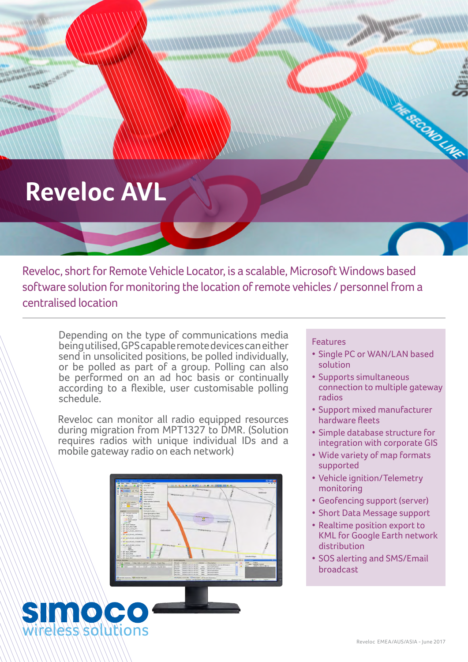## **Reveloc AVL**

**HARRY COMPANY** 

Reveloc, short for Remote Vehicle Locator, is a scalable, Microsoft Windows based software solution for monitoring the location of remote vehicles / personnel from a centralised location

Depending on the type of communications media being utilised, GPS capable remote devices can either send in unsolicited positions, be polled individually, or be polled as part of a group. Polling can also be performed on an ad hoc basis or continually according to a flexible, user customisable polling schedule.

Reveloc can monitor all radio equipped resources during migration from MPT1327 to DMR. (Solution requires radios with unique individual IDs and a mobile gateway radio on each network)





#### **Features**

• Single PC or WAN/LAN based solution

**REGISTAR** 

- Supports simultaneous connection to multiple gateway radios
- Support mixed manufacturer hardware fleets
- Simple database structure for integration with corporate GIS
- • Wide variety of map formats supported
- • Vehicle ignition/Telemetry monitoring
- Geofencing support (server)
- Short Data Message support
- • Realtime position export to KML for Google Earth network distribution
- SOS alerting and SMS/Email broadcast